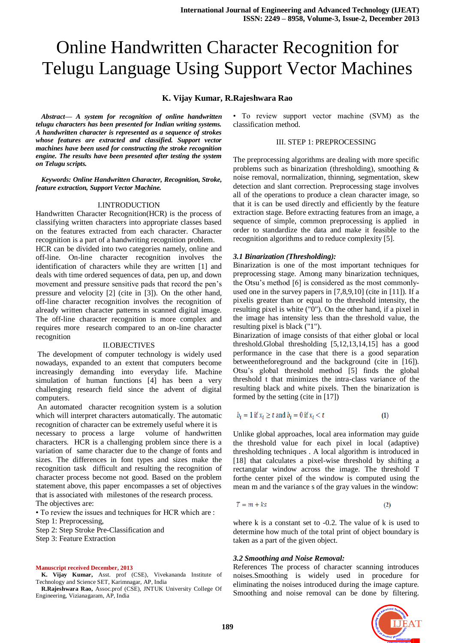# Online Handwritten Character Recognition for Telugu Language Using Support Vector Machines

## **K. Vijay Kumar, R.Rajeshwara Rao**

*Abstract— A system for recognition of online handwritten telugu characters has been presented for Indian writing systems. A handwritten character is represented as a sequence of strokes whose features are extracted and classified. Support vector machines have been used for constructing the stroke recognition engine. The results have been presented after testing the system on Telugu scripts.*

*Keywords: Online Handwritten Character, Recognition, Stroke, feature extraction, Support Vector Machine.*

#### I.INTRODUCTION

Handwritten Character Recognition(HCR) is the process of classifying written characters into appropriate classes based on the features extracted from each character. Character recognition is a part of a handwriting recognition problem.

HCR can be divided into two categories namely, online and off-line. On-line character recognition involves the identification of characters while they are written [1] and deals with time ordered sequences of data, pen up, and down movement and pressure sensitive pads that record the pen's pressure and velocity [2] (cite in [3]). On the other hand, off-line character recognition involves the recognition of already written character patterns in scanned digital image. The off-line character recognition is more complex and requires more research compared to an on-line character recognition

#### II.OBJECTIVES

The development of computer technology is widely used nowadays, expanded to an extent that computers become increasingly demanding into everyday life. Machine simulation of human functions [4] has been a very challenging research field since the advent of digital computers.

An automated character recognition system is a solution which will interpret characters automatically. The automatic recognition of character can be extremely useful where it is

necessary to process a large volume of handwritten characters. HCR is a challenging problem since there is a variation of same character due to the change of fonts and sizes. The differences in font types and sizes make the recognition task difficult and resulting the recognition of character process become not good. Based on the problem statement above, this paper encompasses a set of objectives that is associated with milestones of the research process.

The objectives are:

• To review the issues and techniques for HCR which are :

Step 1: Preprocessing,

Step 2: Step Stroke Pre-Classification and

Step 3: Feature Extraction

#### **Manuscript received December, 2013**

K. Vijay Kumar, Asst. prof (CSE), Vivekananda Institute of Technology and Science SET, Karimnagar, AP, India

**R.Rajeshwara Rao,** Assoc.prof (CSE), JNTUK University College Of Engineering, Vizianagaram, AP, India

• To review support vector machine (SVM) as the classification method.

## III. STEP 1: PREPROCESSING

The preprocessing algorithms are dealing with more specific problems such as binarization (thresholding), smoothing & noise removal, normalization, thinning, segmentation, skew detection and slant correction. Preprocessing stage involves all of the operations to produce a clean character image, so that it is can be used directly and efficiently by the feature extraction stage. Before extracting features from an image, a sequence of simple, common preprocessing is applied in order to standardize the data and make it feasible to the recognition algorithms and to reduce complexity [5].

## *3.1 Binarization (Thresholding):*

Binarization is one of the most important techniques for preprocessing stage. Among many binarization techniques, the Otsu's method [6] is considered as the most commonlyused one in the survey papers in [7,8,9,10] (cite in [11]). If a pixelis greater than or equal to the threshold intensity, the resulting pixel is white ("0"). On the other hand, if a pixel in the image has intensity less than the threshold value, the resulting pixel is black ("1").

Binarization of image consists of that either global or local threshold.Global thresholding [5,12,13,14,15] has a good performance in the case that there is a good separation betweentheforeground and the background (cite in [16]). Otsu's global threshold method [5] finds the global threshold t that minimizes the intra-class variance of the resulting black and white pixels. Then the binarization is formed by the setting (cite in [17])

$$
b_i = 1 \text{ if } x_i \ge t \text{ and } b_i = 0 \text{ if } x_i < t \tag{1}
$$

Unlike global approaches, local area information may guide the threshold value for each pixel in local (adaptive) thresholding techniques . A local algorithm is introduced in [18] that calculates a pixel-wise threshold by shifting a rectangular window across the image. The threshold T forthe center pixel of the window is computed using the mean m and the variance s of the gray values in the window:

$$
T = m + ks \tag{2}
$$

where k is a constant set to  $-0.2$ . The value of k is used to determine how much of the total print of object boundary is taken as a part of the given object.

#### *3.2 Smoothing and Noise Removal:*

References The process of character scanning introduces noises.Smoothing is widely used in procedure for eliminating the noises introduced during the image capture. Smoothing and noise removal can be done by filtering.

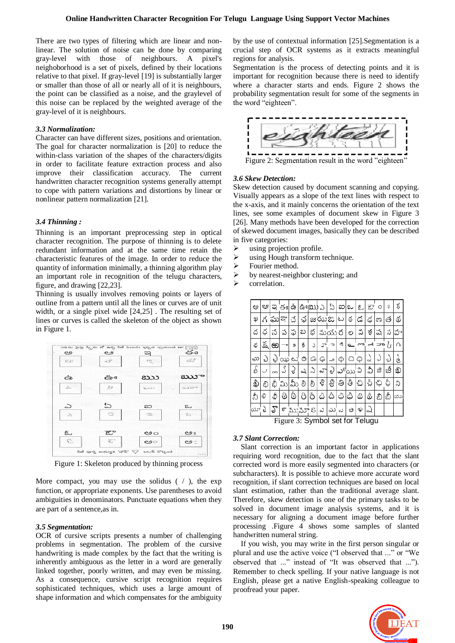There are two types of filtering which are linear and nonlinear. The solution of noise can be done by comparing gray-level with those of neighbours. A pixel's neighoborhood is a set of pixels, defined by their locations relative to that pixel. If gray-level [19] is substantially larger or smaller than those of all or nearly all of it is neighbours, the point can be classified as a noise, and the graylevel of this noise can be replaced by the weighted average of the gray-level of it is neighbours.

## *3.3 Normalization:*

Character can have different sizes, positions and orientation. The goal for character normalization is [20] to reduce the within-class variation of the shapes of the characters/digits in order to facilitate feature extraction process and also improve their classification accuracy. The current handwritten character recognition systems generally attempt to cope with pattern variations and distortions by linear or nonlinear pattern normalization [21].

## *3.4 Thinning :*

Thinning is an important preprocessing step in optical character recognition. The purpose of thinning is to delete redundant information and at the same time retain the characteristic features of the image. In order to reduce the quantity of information minimally, a thinning algorithm play an important role in recognition of the telugu characters, figure, and drawing [22,23].

Thinning is usually involves removing points or layers of outline from a pattern until all the lines or curves are of unit width, or a single pixel wide [24,25] . The resulting set of lines or curves is called the skeleton of the object as shown in Figure 1.



Figure 1: Skeleton produced by thinning process

More compact, you may use the solidus  $( / )$ , the exp function, or appropriate exponents. Use parentheses to avoid ambiguities in denominators. Punctuate equations when they are part of a sentence,as in.

## *3.5 Segmentation:*

OCR of cursive scripts presents a number of challenging problems in segmentation. The problem of the cursive handwriting is made complex by the fact that the writing is inherently ambiguous as the letter in a word are generally linked together, poorly written, and may even be missing. As a consequence, cursive script recognition requires sophisticated techniques, which uses a large amount of shape information and which compensates for the ambiguity

by the use of contextual information [25].Segmentation is a crucial step of OCR systems as it extracts meaningful regions for analysis.

Segmentation is the process of detecting points and it is important for recognition because there is need to identify where a character starts and ends. Figure 2 shows the probability segmentation result for some of the segments in the word "eighteen".



## *3.6 Skew Detection:*

Skew detection caused by document scanning and copying. Visually appears as a slope of the text lines with respect to the x-axis, and it mainly concerns the orientation of the text lines, see some examples of document skew in Figure 3 [26]. Many methods have been developed for the correction of skewed document images, basically they can be described in five categories:

- using projection profile.
- $\triangleright$  using Hough transform technique.
- $\triangleright$  Fourier method.
- by nearest-neighbor clustering; and
- correlation.

| ಅ   | ಆ   | ఇ      | ජඃ ఉ |                   |    |     | ఉంటు $\log$ | ఏ       |        | ఐ∣ఒ∣                            | مع  | ఔ    | O    | $\frac{1}{2}$    | ś  |
|-----|-----|--------|------|-------------------|----|-----|-------------|---------|--------|---------------------------------|-----|------|------|------------------|----|
| ಖ   |     | ఘ      | ବ୍ୟା | చ                 |    |     |             | ఛ జఝఙ ట |        | ఠ                               | డ   | کپم  | ಣ    | త                | థ  |
| ద   | ద   | న      | ప    | ఫ                 | బ  | భ   |             | మయ ర    |        | ల                               | వ   | శ    | ష    | స                | హ  |
| ళ్ల | క్ష | ക      | $^-$ | 9                 | s  | C   | ూ           | っ       | -s     | $\sim$                          | ç   |      | ್ ⊐ಾ | $\gamma_{\rm r}$ |    |
| လု  | r)  | W      |      | $\infty$ $\infty$ | ⊙  | Go. | چې          | م       | Φ      | Q                               | Q   | ୰    | لړه  | ച                | è  |
| D   |     | $\sim$ |      | રે                | Q  | ఎ   | చా          | ु       |        | చ్ $\infty$                     | వి  | వీ   | జి   | జీ               | ఖ్ |
| ĝ   | బి  | బ్రీ   | ಮಿ   | మీ                | లి | లీ  | శి          | శ్రీ    | ತಿ     | తీ                              | చి  | చ్రీ | ఛి   | ఛీ               | ని |
| నీ  | ಳಿ  | \$     | 6    | ò                 | 8  | ΙÔ. | ۵           | â       | \$     | ధీ                              | දිා | ٥    | ඞ    | బీ               | ယာ |
| ರ್ಷ | D   | ౄ      |      | ౯ ముమా S∣ ఎ       |    |     |             | ಎು      | $\sim$ | ಲ                               | ಳಿ  |      |      |                  |    |
|     |     |        |      |                   |    |     |             |         |        | rigure 3: Symbol set for Telugu |     |      |      |                  |    |

Figure 3: Symbol set for Telugu

# *3.7 Slant Correction:*

Slant correction is an important factor in applications requiring word recognition, due to the fact that the slant corrected word is more easily segmented into characters (or subcharacters). It is possible to achieve more accurate word recognition, if slant correction techniques are based on local slant estimation, rather than the traditional average slant. Therefore, skew detection is one of the primary tasks to be solved in document image analysis systems, and it is necessary for aligning a document image before further processing .Figure 4 shows some samples of slanted handwritten numeral string.

If you wish, you may write in the first person singular or plural and use the active voice ("I observed that ..." or "We observed that ..." instead of "It was observed that ..."). Remember to check spelling. If your native language is not English, please get a native English-speaking colleague to proofread your paper.

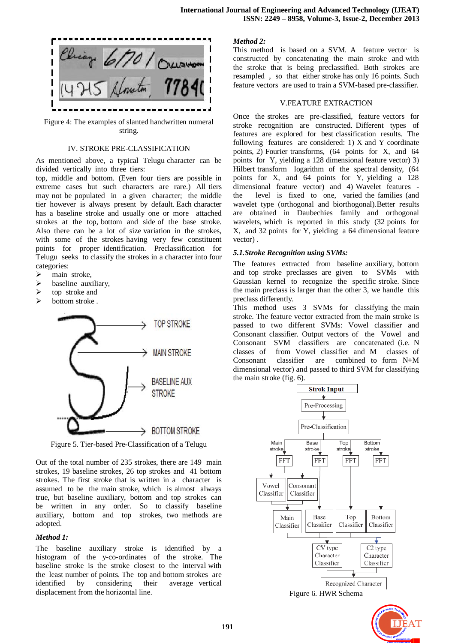

Figure 4: The examples of slanted handwritten numeral string.

## IV. STROKE PRE-CLASSIFICATION

As mentioned above, a typical Telugu character can be divided vertically into three tiers:

top, middle and bottom. (Even four tiers are possible in extreme cases but such characters are rare.) All tiers may not be populated in a given character; the middle tier however is always present by default. Each character has a baseline stroke and usually one or more attached strokes at the top, bottom and side of the base stroke. Also there can be a lot of size variation in the strokes, with some of the strokes having very few constituent points for proper identification. Preclassification for Telugu seeks to classify the strokes in a character into four categories:

- $\triangleright$  main stroke,
- $\triangleright$  baseline auxiliary,
- $\triangleright$  top stroke and
- $\triangleright$  bottom stroke.



Figure 5. Tier-based Pre-Classification of a Telugu

Out of the total number of 235 strokes, there are 149 main strokes, 19 baseline strokes, 26 top strokes and 41 bottom strokes. The first stroke that is written in a character is assumed to be the main stroke, which is almost always true, but baseline auxiliary, bottom and top strokes can be written in any order. So to classify baseline auxiliary, bottom and top strokes, two methods are adopted.

## *Method 1:*

The baseline auxiliary stroke is identified by a histogram of the y-co-ordinates of the stroke. The baseline stroke is the stroke closest to the interval with the least number of points. The top and bottom strokes are identified by considering their average vertical displacement from the horizontal line.

## *Method 2:*

This method is based on a SVM. A feature vector is constructed by concatenating the main stroke and with the stroke that is being preclassified. Both strokes are resampled , so that either stroke has only 16 points. Such feature vectors are used to train a SVM-based pre-classifier.

## V.FEATURE EXTRACTION

Once the strokes are pre-classified, feature vectors for stroke recognition are constructed. Different types of features are explored for best classification results. The following features are considered: 1) X and Y coordinate points, 2) Fourier transforms, (64 points for X, and 64 points for Y, yielding a 128 dimensional feature vector) 3) Hilbert transform logarithm of the spectral density, (64 points for X, and 64 points for Y, yielding a 128 dimensional feature vector) and 4) Wavelet features the level is fixed to one, varied the families (and wavelet type (orthogonal and biorthogonal).Better results are obtained in Daubechies family and orthogonal wavelets, which is reported in this study (32 points for X, and 32 points for Y, yielding a 64 dimensional feature vector) .

## *5.1.Stroke Recognition using SVMs:*

The features extracted from baseline auxiliary, bottom and top stroke preclasses are given to SVMs with Gaussian kernel to recognize the specific stroke. Since the main preclass is larger than the other 3, we handle this preclass differently.

This method uses 3 SVMs for classifying the main stroke. The feature vector extracted from the main stroke is passed to two different SVMs: Vowel classifier and Consonant classifier. Output vectors of the Vowel and Consonant SVM classifiers are concatenated (i.e. N classes of from Vowel classifier and M classes of Consonant classifier are combined to form N+M dimensional vector) and passed to third SVM for classifying the main stroke (fig. 6).